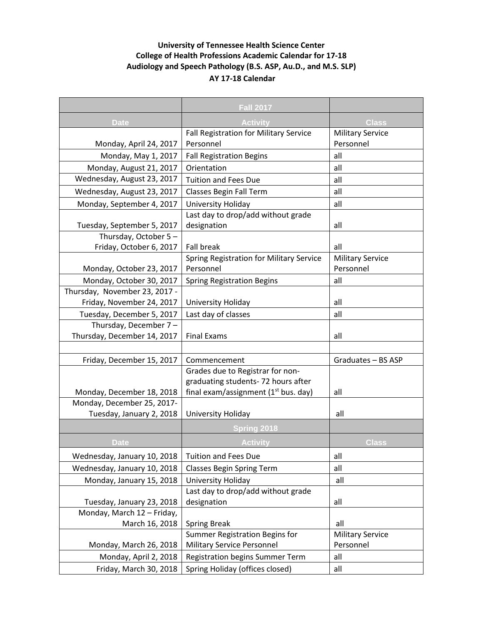## **University of Tennessee Health Science Center College of Health Professions Academic Calendar for 17-18 Audiology and Speech Pathology (B.S. ASP, Au.D., and M.S. SLP) AY 17-18 Calendar**

|                                                         | Fall 2017                                                                    |                         |
|---------------------------------------------------------|------------------------------------------------------------------------------|-------------------------|
| <b>Date</b>                                             | Activity                                                                     | Class                   |
|                                                         | Fall Registration for Military Service                                       | <b>Military Service</b> |
| Monday, April 24, 2017                                  | Personnel                                                                    | Personnel               |
| Monday, May 1, 2017                                     | <b>Fall Registration Begins</b>                                              | all                     |
| Monday, August 21, 2017                                 | Orientation                                                                  | all                     |
| Wednesday, August 23, 2017                              | <b>Tuition and Fees Due</b>                                                  | all                     |
| Wednesday, August 23, 2017                              | Classes Begin Fall Term                                                      | all                     |
| Monday, September 4, 2017                               | University Holiday                                                           | all                     |
|                                                         | Last day to drop/add without grade                                           |                         |
| Tuesday, September 5, 2017                              | designation                                                                  | all                     |
| Thursday, October 5-                                    |                                                                              |                         |
| Friday, October 6, 2017                                 | <b>Fall break</b>                                                            | all                     |
|                                                         | Spring Registration for Military Service                                     | <b>Military Service</b> |
| Monday, October 23, 2017                                | Personnel                                                                    | Personnel               |
| Monday, October 30, 2017                                | <b>Spring Registration Begins</b>                                            | all                     |
| Thursday, November 23, 2017 -                           |                                                                              |                         |
| Friday, November 24, 2017                               | University Holiday                                                           | all                     |
| Tuesday, December 5, 2017                               | Last day of classes                                                          | all                     |
| Thursday, December 7-                                   |                                                                              |                         |
| Thursday, December 14, 2017                             | <b>Final Exams</b>                                                           | all                     |
|                                                         |                                                                              |                         |
| Friday, December 15, 2017                               | Commencement                                                                 | Graduates - BS ASP      |
|                                                         | Grades due to Registrar for non-                                             |                         |
|                                                         | graduating students-72 hours after<br>final exam/assignment $(1st$ bus. day) | all                     |
| Monday, December 18, 2018<br>Monday, December 25, 2017- |                                                                              |                         |
| Tuesday, January 2, 2018                                | University Holiday                                                           | all                     |
|                                                         |                                                                              |                         |
|                                                         | Spring 2018                                                                  |                         |
| <b>Date</b>                                             | <b>Activity</b>                                                              | <b>Class</b>            |
| Wednesday, January 10, 2018                             | <b>Tuition and Fees Due</b>                                                  | all                     |
| Wednesday, January 10, 2018                             | <b>Classes Begin Spring Term</b>                                             | all                     |
| Monday, January 15, 2018                                | University Holiday                                                           | all                     |
|                                                         | Last day to drop/add without grade                                           |                         |
| Tuesday, January 23, 2018                               | designation                                                                  | all                     |
| Monday, March 12 - Friday,                              |                                                                              |                         |
| March 16, 2018                                          | <b>Spring Break</b>                                                          | all                     |
|                                                         | Summer Registration Begins for                                               | <b>Military Service</b> |
| Monday, March 26, 2018                                  | Military Service Personnel                                                   | Personnel               |
| Monday, April 2, 2018                                   | <b>Registration begins Summer Term</b>                                       | all                     |
| Friday, March 30, 2018                                  | Spring Holiday (offices closed)                                              | all                     |